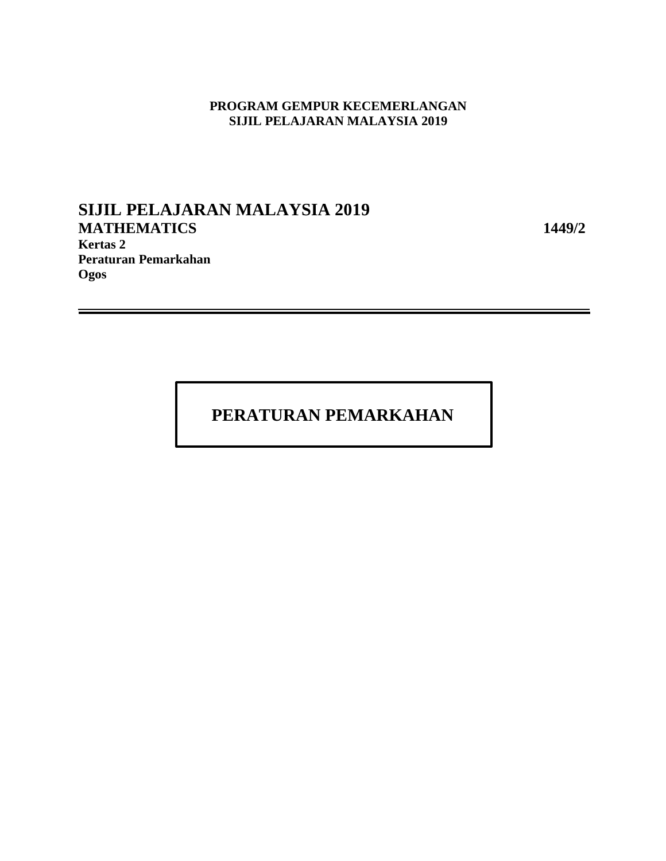## **PROGRAM GEMPUR KECEMERLANGAN SIJIL PELAJARAN MALAYSIA 2019**

## **SIJIL PELAJARAN MALAYSIA 2019 MATHEMATICS 1449/2 Kertas 2 Peraturan Pemarkahan Ogos**

## **PERATURAN PEMARKAHAN**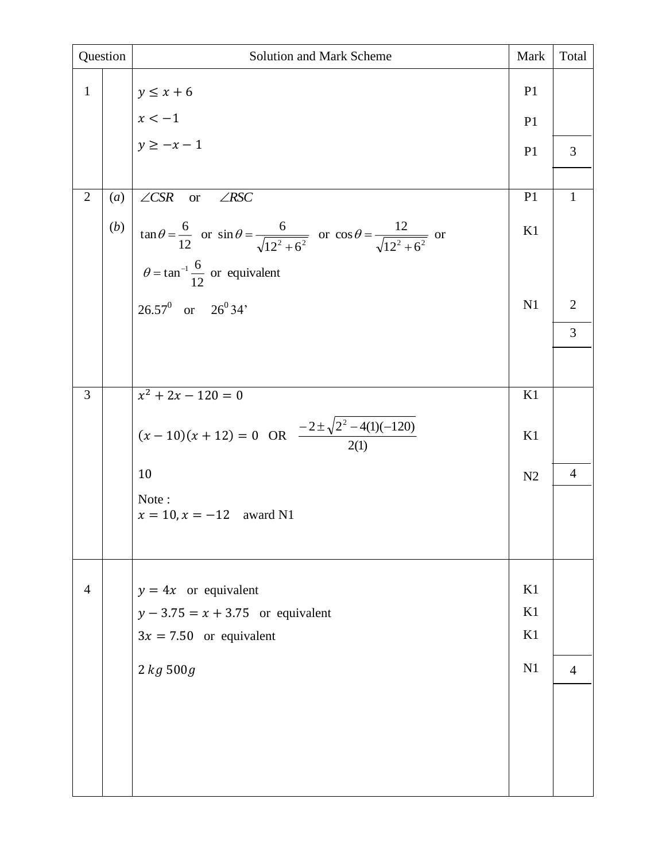| Question       |     | Solution and Mark Scheme                                                                                                       | Mark           | Total          |
|----------------|-----|--------------------------------------------------------------------------------------------------------------------------------|----------------|----------------|
| $\mathbf{1}$   |     | $y \leq x + 6$                                                                                                                 | P <sub>1</sub> |                |
|                |     | $x < -1$<br>$y \ge -x - 1$                                                                                                     | P <sub>1</sub> |                |
|                |     |                                                                                                                                | P <sub>1</sub> | 3              |
|                |     |                                                                                                                                |                |                |
| $\overline{2}$ | (a) | $\angle CSR$ or<br>$\angle RSC$                                                                                                | P1             | $\mathbf{1}$   |
|                | (b) | $\tan \theta = \frac{6}{12}$ or $\sin \theta = \frac{6}{\sqrt{12^2 + 6^2}}$ or $\cos \theta = \frac{12}{\sqrt{12^2 + 6^2}}$ or | K1             |                |
|                |     | $\theta = \tan^{-1} \frac{6}{12}$ or equivalent                                                                                |                |                |
|                |     | $26.57^0$ or $26^034'$                                                                                                         | N1             | $\overline{2}$ |
|                |     |                                                                                                                                |                | $\overline{3}$ |
|                |     |                                                                                                                                |                |                |
| 3              |     | $x^2 + 2x - 120 = 0$                                                                                                           | K1             |                |
|                |     | $(x-10)(x+12) = 0$ OR $\frac{-2 \pm \sqrt{2^2 - 4(1)(-120)}}{2(1)}$                                                            | K1             |                |
|                |     | 10                                                                                                                             | N <sub>2</sub> | $\overline{4}$ |
|                |     | Note:<br>$x = 10, x = -12$ award N1                                                                                            |                |                |
|                |     |                                                                                                                                |                |                |
|                |     |                                                                                                                                |                |                |
| $\overline{4}$ |     | $y = 4x$ or equivalent                                                                                                         | K1             |                |
|                |     | $y - 3.75 = x + 3.75$ or equivalent                                                                                            | K1             |                |
|                |     | $3x = 7.50$ or equivalent                                                                                                      | K1             |                |
|                |     | 2 kg 500g                                                                                                                      | N1             | $\overline{4}$ |
|                |     |                                                                                                                                |                |                |
|                |     |                                                                                                                                |                |                |
|                |     |                                                                                                                                |                |                |
|                |     |                                                                                                                                |                |                |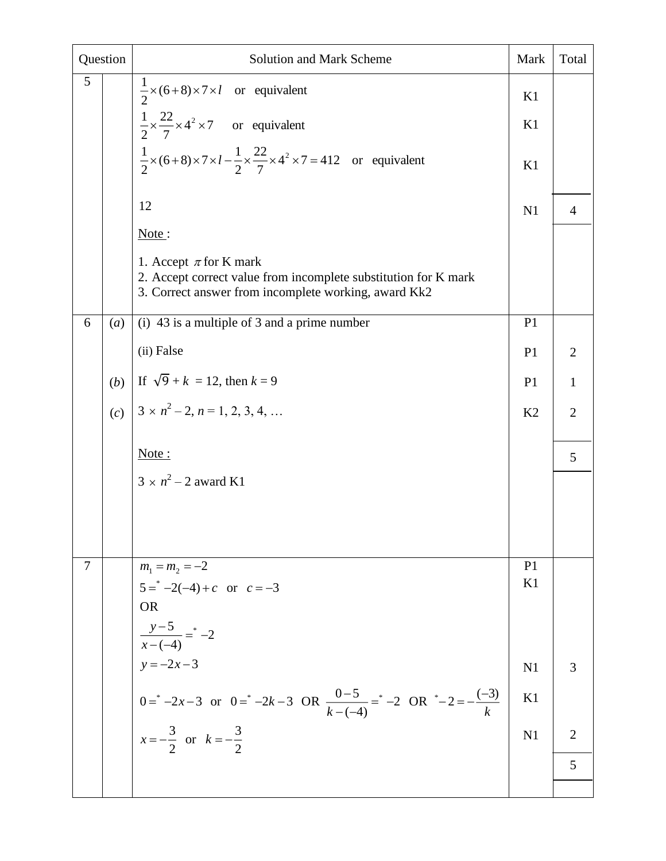| Question |     | Solution and Mark Scheme                                                                                                                              | Mark           | Total          |
|----------|-----|-------------------------------------------------------------------------------------------------------------------------------------------------------|----------------|----------------|
| 5        |     | $\frac{1}{2} \times (6+8) \times 7 \times l$ or equivalent                                                                                            | K1             |                |
|          |     | $\frac{1}{2} \times \frac{22}{7} \times 4^2 \times 7$ or equivalent                                                                                   | K1             |                |
|          |     | $\frac{1}{2} \times (6+8) \times 7 \times l - \frac{1}{2} \times \frac{22}{7} \times 4^2 \times 7 = 412$ or equivalent                                | K1             |                |
|          |     | 12                                                                                                                                                    | N1             | $\overline{4}$ |
|          |     | Note:                                                                                                                                                 |                |                |
|          |     | 1. Accept $\pi$ for K mark<br>2. Accept correct value from incomplete substitution for K mark<br>3. Correct answer from incomplete working, award Kk2 |                |                |
| 6        | (a) | (i) 43 is a multiple of 3 and a prime number                                                                                                          | P <sub>1</sub> |                |
|          |     | (ii) False                                                                                                                                            | P <sub>1</sub> | $\overline{2}$ |
|          | (b) | If $\sqrt{9} + k = 12$ , then $k = 9$                                                                                                                 | P <sub>1</sub> | $\mathbf{1}$   |
|          | (c) | $3 \times n^2 - 2, n = 1, 2, 3, 4, $                                                                                                                  | K2             | $\overline{2}$ |
|          |     | Note:                                                                                                                                                 |                | 5              |
|          |     | $3 \times n^2 - 2$ award K1                                                                                                                           |                |                |
|          |     |                                                                                                                                                       |                |                |
|          |     |                                                                                                                                                       |                |                |
| 7        |     | $m_1 = m_2 = -2$                                                                                                                                      | P <sub>1</sub> |                |
|          |     | $5 = -2(-4) + c$ or $c = -3$                                                                                                                          | K1             |                |
|          |     | <b>OR</b>                                                                                                                                             |                |                |
|          |     | $\frac{y-5}{x-(-4)} = -2$                                                                                                                             |                |                |
|          |     | $y = -2x - 3$                                                                                                                                         | N1             | 3              |
|          |     | $0 = -2x-3$ or $0 = -2k-3$ OR $\frac{0-5}{k-(-4)} = -2$ OR $-2 = -\frac{(-3)}{k}$<br>$x = -\frac{3}{2}$ or $k = -\frac{3}{2}$                         | K1             |                |
|          |     |                                                                                                                                                       | N1             | $\overline{2}$ |
|          |     |                                                                                                                                                       |                | 5              |
|          |     |                                                                                                                                                       |                |                |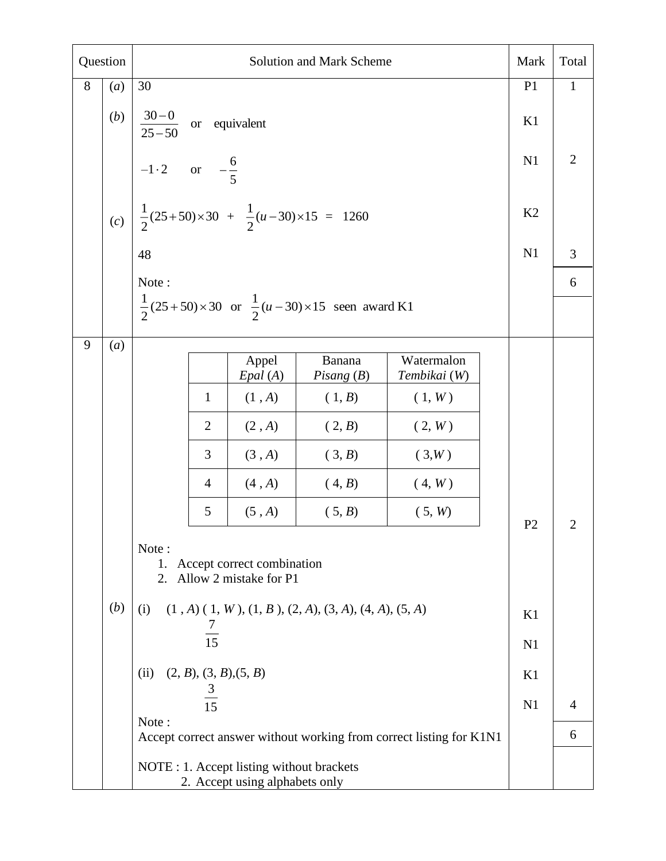| Question |     | <b>Solution and Mark Scheme</b>                                                                                                                                                                          |                                                                             |                                                                           |                                                                     | Mark | Total          |                |  |
|----------|-----|----------------------------------------------------------------------------------------------------------------------------------------------------------------------------------------------------------|-----------------------------------------------------------------------------|---------------------------------------------------------------------------|---------------------------------------------------------------------|------|----------------|----------------|--|
| 8        | (a) | 30                                                                                                                                                                                                       |                                                                             |                                                                           |                                                                     |      | P <sub>1</sub> | $\mathbf{1}$   |  |
|          | (b) |                                                                                                                                                                                                          | $\frac{30-0}{25-50}$ or equivalent                                          |                                                                           |                                                                     |      |                |                |  |
|          |     | $-1 \cdot 2$ or $-\frac{6}{5}$                                                                                                                                                                           |                                                                             | N1                                                                        | $\mathbf{2}$                                                        |      |                |                |  |
|          | (c) | $\frac{1}{2}(25+50)\times 30 + \frac{1}{2}(u-30)\times 15 = 1260$                                                                                                                                        |                                                                             | K2                                                                        |                                                                     |      |                |                |  |
|          |     | 48                                                                                                                                                                                                       |                                                                             | N1                                                                        | 3                                                                   |      |                |                |  |
|          |     | Note:                                                                                                                                                                                                    |                                                                             |                                                                           | 6                                                                   |      |                |                |  |
|          |     |                                                                                                                                                                                                          |                                                                             | $\frac{1}{2}(25+50)\times30$ or $\frac{1}{2}(u-30)\times15$ seen award K1 |                                                                     |      |                |                |  |
| 9        | (a) |                                                                                                                                                                                                          |                                                                             |                                                                           |                                                                     |      |                |                |  |
|          |     |                                                                                                                                                                                                          | Appel<br>Epal (A)                                                           | Banana<br>Pisang $(B)$                                                    | Watermalon<br>Tembikai (W)                                          |      |                |                |  |
|          |     | $\mathbf{1}$                                                                                                                                                                                             | (1, A)                                                                      | (1, B)                                                                    | (1, W)                                                              |      |                |                |  |
|          |     | $\overline{2}$                                                                                                                                                                                           | (2, A)                                                                      | (2, B)                                                                    | (2, W)                                                              |      |                |                |  |
|          |     | 3                                                                                                                                                                                                        | (3, A)                                                                      | (3, B)                                                                    | (3, W)                                                              |      |                |                |  |
|          |     | $\overline{4}$                                                                                                                                                                                           | (4, A)<br>(4, B)<br>(4, W)                                                  |                                                                           |                                                                     |      |                |                |  |
|          |     | 5                                                                                                                                                                                                        | (5, A)                                                                      | (5, B)                                                                    | (5, W)                                                              |      | P <sub>2</sub> | $\overline{2}$ |  |
|          | (b) | Note:<br>Accept correct combination<br>1.<br>Allow 2 mistake for P1<br>2.<br>$(1, A)$ $(1, W)$ , $(1, B)$ , $(2, A)$ , $(3, A)$ , $(4, A)$ , $(5, A)$<br>(i)<br>$\frac{7}{15}$<br>(2, B), (3, B), (5, B) |                                                                             |                                                                           |                                                                     |      |                |                |  |
|          |     | (ii)<br>$\frac{3}{15}$                                                                                                                                                                                   |                                                                             |                                                                           |                                                                     |      | K1             |                |  |
|          |     | Note:                                                                                                                                                                                                    |                                                                             |                                                                           |                                                                     |      | N <sub>1</sub> | $\overline{4}$ |  |
|          |     |                                                                                                                                                                                                          |                                                                             |                                                                           | Accept correct answer without working from correct listing for K1N1 |      |                | 6              |  |
|          |     |                                                                                                                                                                                                          | NOTE : 1. Accept listing without brackets<br>2. Accept using alphabets only |                                                                           |                                                                     |      |                |                |  |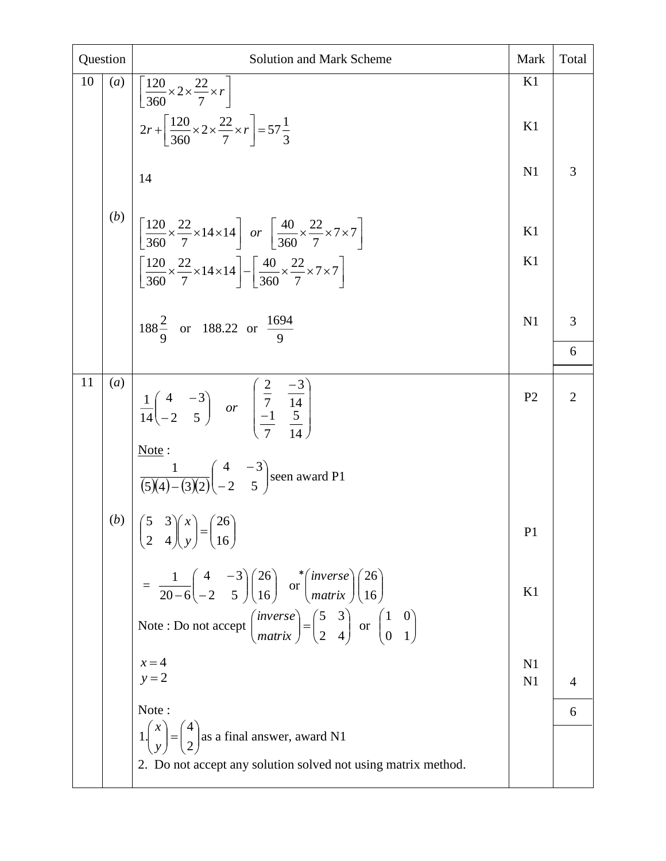| Question |     | <b>Solution and Mark Scheme</b>                                                                                                                                                                                                                                                                                                                                                                            | Mark           | Total          |
|----------|-----|------------------------------------------------------------------------------------------------------------------------------------------------------------------------------------------------------------------------------------------------------------------------------------------------------------------------------------------------------------------------------------------------------------|----------------|----------------|
| 10       | (a) | $\left \frac{120}{360}\times2\times\frac{22}{7}\times r\right $<br>$2r + \left[\frac{120}{360} \times 2 \times \frac{22}{7} \times r\right] = 57\frac{1}{3}$<br>14                                                                                                                                                                                                                                         | K1<br>K1<br>N1 | $\overline{3}$ |
|          | (b) | $\left[\left[\frac{120}{360} \times \frac{22}{7} \times 14 \times 14\right] \text{ or } \left[\frac{40}{360} \times \frac{22}{7} \times 7 \times 7\right]\right]$<br>$\left[\frac{120}{360} \times \frac{22}{7} \times 14 \times 14\right] - \left[\frac{40}{360} \times \frac{22}{7} \times 7 \times 7\right]$                                                                                            | K1<br>K1       |                |
|          |     | $188\frac{2}{9}$ or 188.22 or $\frac{1694}{9}$                                                                                                                                                                                                                                                                                                                                                             | N <sub>1</sub> | 3<br>6         |
| 11       | (a) | $\frac{1}{14} \begin{pmatrix} 4 & -3 \\ -2 & 5 \end{pmatrix}$ or $\begin{pmatrix} \frac{2}{7} & \frac{-3}{14} \\ -1 & \frac{5}{14} \end{pmatrix}$<br>Note:<br>$\frac{1}{(5)(4)-(3)(2)}\begin{pmatrix} 4 & -3 \\ -2 & 5 \end{pmatrix}$ seen award P1                                                                                                                                                        | P <sub>2</sub> | $\overline{2}$ |
|          | (b) | $\begin{pmatrix} 5 & 3 \\ 2 & 4 \end{pmatrix} \begin{pmatrix} x \\ y \end{pmatrix} = \begin{pmatrix} 26 \\ 16 \end{pmatrix}$                                                                                                                                                                                                                                                                               | P <sub>1</sub> |                |
|          |     | $= \frac{1}{20-6} \begin{pmatrix} 4 & -3 \\ -2 & 5 \end{pmatrix} \begin{pmatrix} 26 \\ 16 \end{pmatrix}$ or $\begin{pmatrix} \text{inverse} \\ \text{matrix} \end{pmatrix} \begin{pmatrix} 26 \\ 16 \end{pmatrix}$<br>Note: Do not accept $\begin{pmatrix} \text{inverse} \\ \text{matrix} \end{pmatrix} = \begin{pmatrix} 5 & 3 \\ 2 & 4 \end{pmatrix}$ or $\begin{pmatrix} 1 & 0 \\ 0 & 1 \end{pmatrix}$ | K1             |                |
|          |     | $x=4$<br>$y = 2$                                                                                                                                                                                                                                                                                                                                                                                           | N1<br>N1       | $\overline{4}$ |
|          |     | Note:                                                                                                                                                                                                                                                                                                                                                                                                      |                | 6              |
|          |     | $1\begin{pmatrix} x \\ y \end{pmatrix} = \begin{pmatrix} 4 \\ 2 \end{pmatrix}$ as a final answer, award N1<br>2. Do not accept any solution solved not using matrix method.                                                                                                                                                                                                                                |                |                |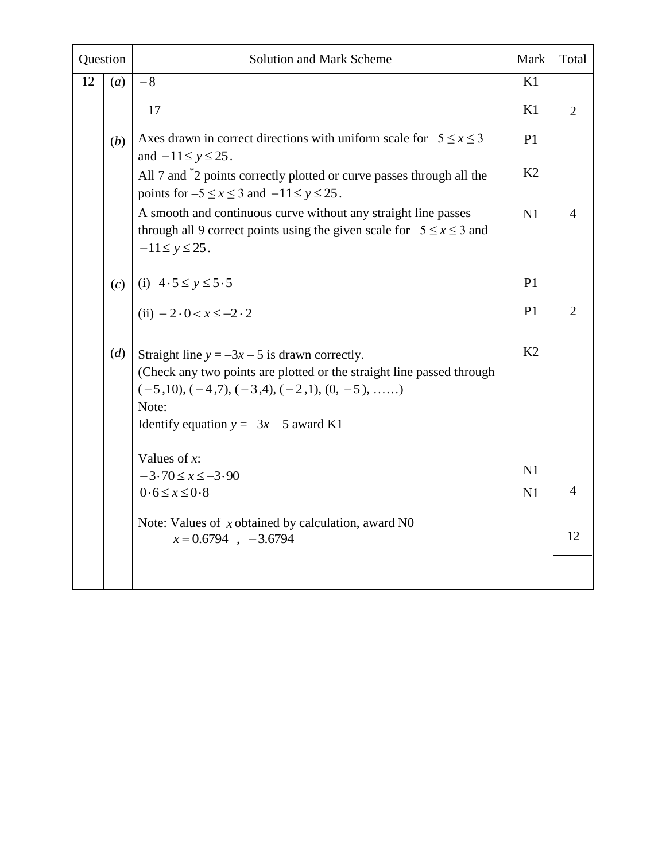| Question |                                | <b>Solution and Mark Scheme</b>                                                                                                                                                                                                       | Mark           | Total          |
|----------|--------------------------------|---------------------------------------------------------------------------------------------------------------------------------------------------------------------------------------------------------------------------------------|----------------|----------------|
| 12       | (a)                            | $-8$                                                                                                                                                                                                                                  | K1             |                |
|          |                                | 17                                                                                                                                                                                                                                    | K1             | $\overline{2}$ |
|          | (b)                            | Axes drawn in correct directions with uniform scale for $-5 \le x \le 3$<br>and $-11 \le y \le 25$ .                                                                                                                                  | P <sub>1</sub> |                |
|          |                                | All 7 and ${}^*2$ points correctly plotted or curve passes through all the<br>points for $-5 \le x \le 3$ and $-11 \le y \le 25$ .                                                                                                    | K <sub>2</sub> |                |
|          |                                | A smooth and continuous curve without any straight line passes<br>through all 9 correct points using the given scale for $-5 \le x \le 3$ and<br>$-11 \le y \le 25$ .                                                                 | N1             | $\overline{4}$ |
|          | (i) $4.5 \le y \le 5.5$<br>(c) |                                                                                                                                                                                                                                       | P1             |                |
|          |                                | (ii) $-2 \cdot 0 < x \le -2 \cdot 2$                                                                                                                                                                                                  | P <sub>1</sub> | 2              |
|          | (d)                            | Straight line $y = -3x - 5$ is drawn correctly.<br>(Check any two points are plotted or the straight line passed through<br>$(-5,10), (-4,7), (-3,4), (-2,1), (0, -5), \ldots$ .<br>Note:<br>Identify equation $y = -3x - 5$ award K1 | K2             |                |
|          |                                | Values of $x$ :<br>$-3.70 \le x \le -3.90$                                                                                                                                                                                            | N1             |                |
|          |                                | $0.6 \leq x \leq 0.8$                                                                                                                                                                                                                 | N1             | $\overline{4}$ |
|          |                                | Note: Values of $x$ obtained by calculation, award N0<br>$x=0.6794$ , -3.6794                                                                                                                                                         |                | 12             |
|          |                                |                                                                                                                                                                                                                                       |                |                |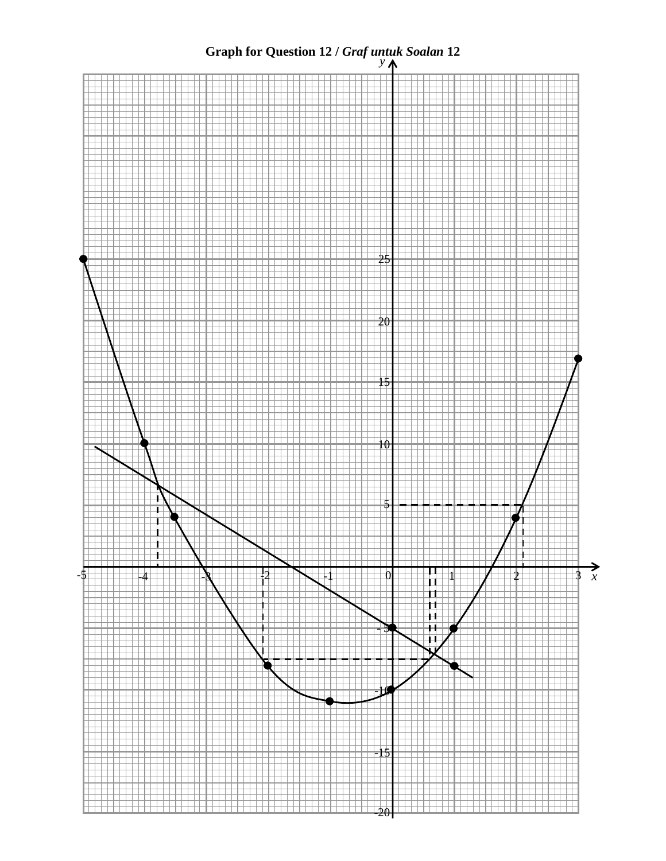## **Graph for Question 12 /** *Graf untuk Soalan* **12**

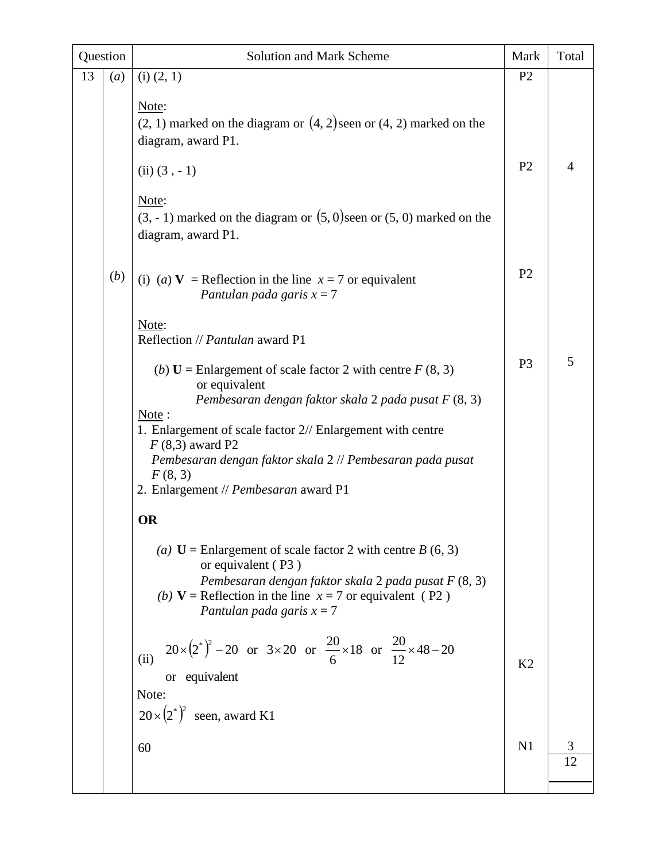| Question |     | <b>Solution and Mark Scheme</b>                                                                                                                                                                                                          | Mark           | Total   |
|----------|-----|------------------------------------------------------------------------------------------------------------------------------------------------------------------------------------------------------------------------------------------|----------------|---------|
| 13       | (a) | $(i)$ $(2, 1)$                                                                                                                                                                                                                           | P <sub>2</sub> |         |
|          |     | Note:<br>$(2, 1)$ marked on the diagram or $(4, 2)$ seen or $(4, 2)$ marked on the<br>diagram, award P1.<br>$(ii) (3, -1)$<br>Note:                                                                                                      | P <sub>2</sub> | 4       |
|          |     | $(3, -1)$ marked on the diagram or $(5, 0)$ seen or $(5, 0)$ marked on the<br>diagram, award P1.                                                                                                                                         |                |         |
|          | (b) | (i) (a) <b>V</b> = Reflection in the line $x = 7$ or equivalent<br>Pantulan pada garis $x = 7$                                                                                                                                           | P <sub>2</sub> |         |
|          |     | Note:<br>Reflection // Pantulan award P1                                                                                                                                                                                                 |                |         |
|          |     | (b) $U =$ Enlargement of scale factor 2 with centre $F(8, 3)$<br>or equivalent<br>Pembesaran dengan faktor skala 2 pada pusat F (8, 3)<br>Note:                                                                                          | P <sub>3</sub> | 5       |
|          |     | 1. Enlargement of scale factor 2// Enlargement with centre<br>$F(8,3)$ award P2                                                                                                                                                          |                |         |
|          |     | Pembesaran dengan faktor skala 2 // Pembesaran pada pusat<br>F(8, 3)<br>2. Enlargement // Pembesaran award P1                                                                                                                            |                |         |
|          |     | <b>OR</b>                                                                                                                                                                                                                                |                |         |
|          |     | (a) $U =$ Enlargement of scale factor 2 with centre B (6, 3)<br>or equivalent (P3)<br>Pembesaran dengan faktor skala 2 pada pusat F (8, 3)<br>(b) $V =$ Reflection in the line $x = 7$ or equivalent (P2)<br>Pantulan pada garis $x = 7$ |                |         |
|          |     | $20 \times (2^*)^2 - 20$ or $3 \times 20$ or $\frac{20}{6} \times 18$ or $\frac{20}{12} \times 48 - 20$<br>(ii)<br>or equivalent                                                                                                         | K <sub>2</sub> |         |
|          |     | Note:<br>$20 \times (2^*)^2$<br>seen, award K1                                                                                                                                                                                           |                |         |
|          |     | 60                                                                                                                                                                                                                                       | N1             | 3<br>12 |
|          |     |                                                                                                                                                                                                                                          |                |         |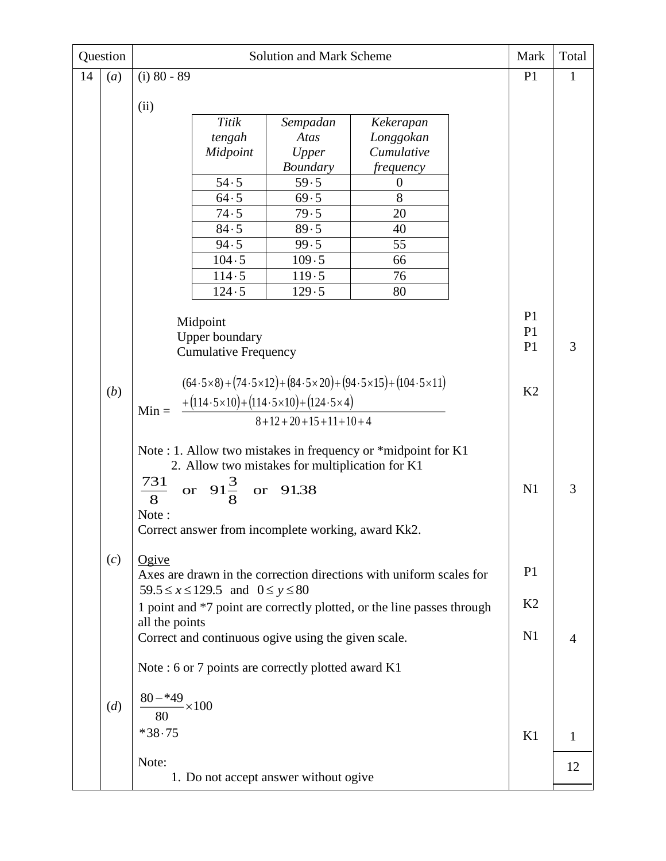| Question |                                                                                                  |                                                               |                             | <b>Solution and Mark Scheme</b>                     |                                                                                                | Mark           | Total        |
|----------|--------------------------------------------------------------------------------------------------|---------------------------------------------------------------|-----------------------------|-----------------------------------------------------|------------------------------------------------------------------------------------------------|----------------|--------------|
| 14       | (a)                                                                                              | $(i)$ 80 - 89                                                 |                             |                                                     |                                                                                                | P <sub>1</sub> | $\mathbf{1}$ |
|          |                                                                                                  | (ii)                                                          |                             |                                                     |                                                                                                |                |              |
|          |                                                                                                  |                                                               | Titik                       | Sempadan                                            | Kekerapan                                                                                      |                |              |
|          |                                                                                                  |                                                               | tengah                      | Atas                                                | Longgokan                                                                                      |                |              |
|          |                                                                                                  |                                                               | Midpoint                    | Upper                                               | Cumulative                                                                                     |                |              |
|          |                                                                                                  |                                                               |                             | <b>Boundary</b>                                     | <i>frequency</i>                                                                               |                |              |
|          |                                                                                                  |                                                               | 54.5                        | 59.5                                                | $\boldsymbol{0}$                                                                               |                |              |
|          |                                                                                                  |                                                               | 64.5                        | 69.5                                                | 8                                                                                              |                |              |
|          |                                                                                                  |                                                               | 74.5                        | 79.5                                                | 20                                                                                             |                |              |
|          |                                                                                                  |                                                               | 84.5                        | 89.5                                                | 40                                                                                             |                |              |
|          |                                                                                                  |                                                               | 94.5                        | 99.5                                                | 55                                                                                             |                |              |
|          |                                                                                                  |                                                               | 104.5                       | 109.5                                               | 66                                                                                             |                |              |
|          |                                                                                                  |                                                               | 114.5                       | 119.5                                               | 76                                                                                             |                |              |
|          |                                                                                                  |                                                               | 124.5                       | 129.5                                               | 80                                                                                             |                |              |
|          |                                                                                                  |                                                               |                             |                                                     |                                                                                                |                |              |
|          |                                                                                                  | Midpoint                                                      |                             |                                                     |                                                                                                | P1<br>P1       |              |
|          |                                                                                                  |                                                               | <b>Upper boundary</b>       |                                                     |                                                                                                | P <sub>1</sub> | 3            |
|          |                                                                                                  |                                                               | <b>Cumulative Frequency</b> |                                                     |                                                                                                |                |              |
|          |                                                                                                  |                                                               |                             |                                                     |                                                                                                |                |              |
|          | (b)                                                                                              |                                                               |                             |                                                     | $(64.5 \times 8) + (74.5 \times 12) + (84.5 \times 20) + (94.5 \times 15) + (104.5 \times 11)$ | K2             |              |
|          | $+(114.5\times10)+(114.5\times10)+(124.5\times4)$<br>$Min =$<br>$8 + 12 + 20 + 15 + 11 + 10 + 4$ |                                                               |                             |                                                     |                                                                                                |                |              |
|          |                                                                                                  |                                                               |                             |                                                     |                                                                                                |                |              |
|          |                                                                                                  |                                                               |                             |                                                     |                                                                                                |                |              |
|          |                                                                                                  | Note : 1. Allow two mistakes in frequency or *midpoint for K1 |                             |                                                     |                                                                                                |                |              |
|          |                                                                                                  | 731                                                           |                             | 2. Allow two mistakes for multiplication for K1     |                                                                                                |                |              |
|          |                                                                                                  | $\overline{8}$                                                | or $91\frac{3}{8}$          | or 91.38                                            |                                                                                                | N1             | 3            |
|          |                                                                                                  | Note:                                                         |                             |                                                     |                                                                                                |                |              |
|          |                                                                                                  |                                                               |                             | Correct answer from incomplete working, award Kk2.  |                                                                                                |                |              |
|          |                                                                                                  |                                                               |                             |                                                     |                                                                                                |                |              |
|          | (c)                                                                                              | $O$ <i>give</i>                                               |                             |                                                     |                                                                                                |                |              |
|          |                                                                                                  |                                                               |                             |                                                     | Axes are drawn in the correction directions with uniform scales for                            | P <sub>1</sub> |              |
|          |                                                                                                  | $59.5 \le x \le 129.5$ and $0 \le y \le 80$                   |                             |                                                     |                                                                                                |                |              |
|          |                                                                                                  |                                                               |                             |                                                     | 1 point and *7 point are correctly plotted, or the line passes through                         | K <sub>2</sub> |              |
|          |                                                                                                  | all the points                                                |                             |                                                     |                                                                                                |                |              |
|          |                                                                                                  |                                                               |                             | Correct and continuous ogive using the given scale. |                                                                                                | N <sub>1</sub> | 4            |
|          |                                                                                                  |                                                               |                             | Note: 6 or 7 points are correctly plotted award K1  |                                                                                                |                |              |
|          |                                                                                                  |                                                               |                             |                                                     |                                                                                                |                |              |
|          | (d)                                                                                              | $80 - 49 \times 100$                                          |                             |                                                     |                                                                                                |                |              |
| 80       |                                                                                                  |                                                               |                             |                                                     |                                                                                                |                |              |
|          | $*38.75$                                                                                         |                                                               |                             |                                                     |                                                                                                | K1             | 1            |
|          |                                                                                                  |                                                               |                             |                                                     |                                                                                                |                |              |
|          |                                                                                                  | Note:                                                         |                             |                                                     |                                                                                                |                | 12           |
|          |                                                                                                  | 1. Do not accept answer without ogive                         |                             |                                                     |                                                                                                |                |              |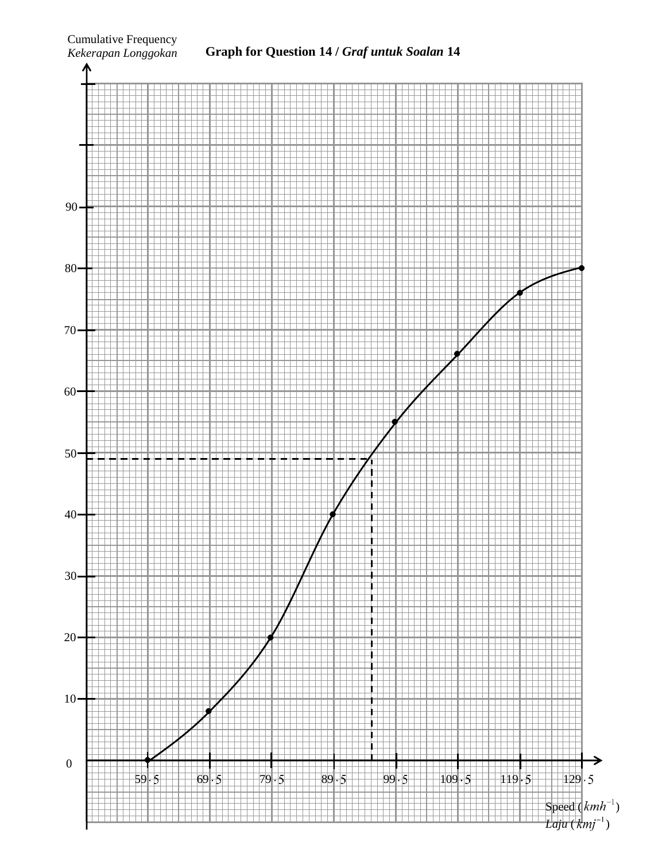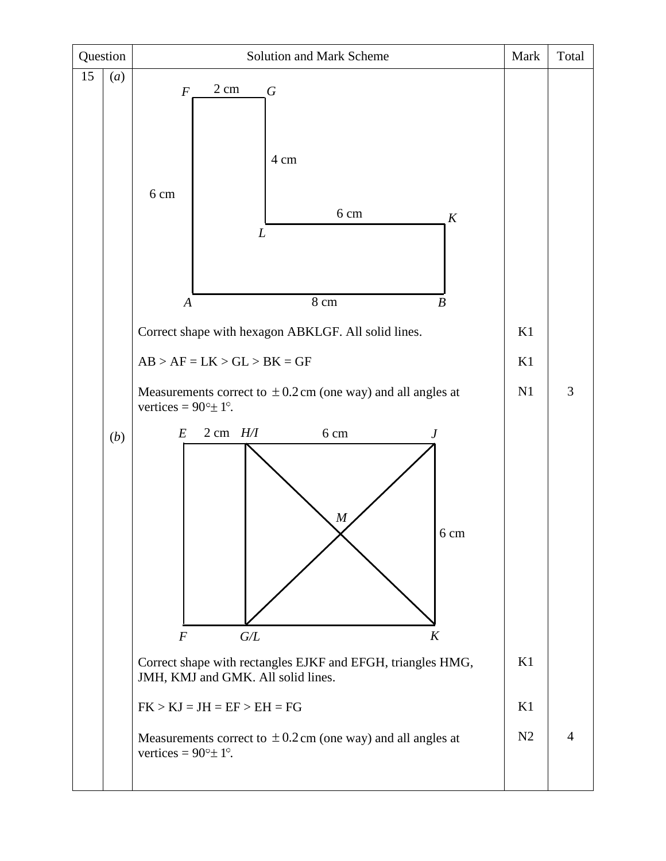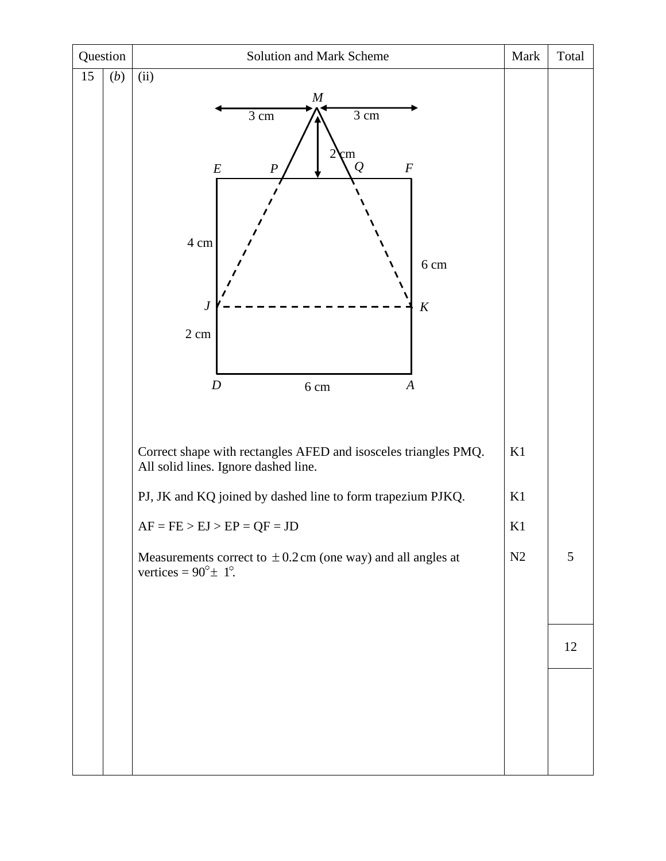